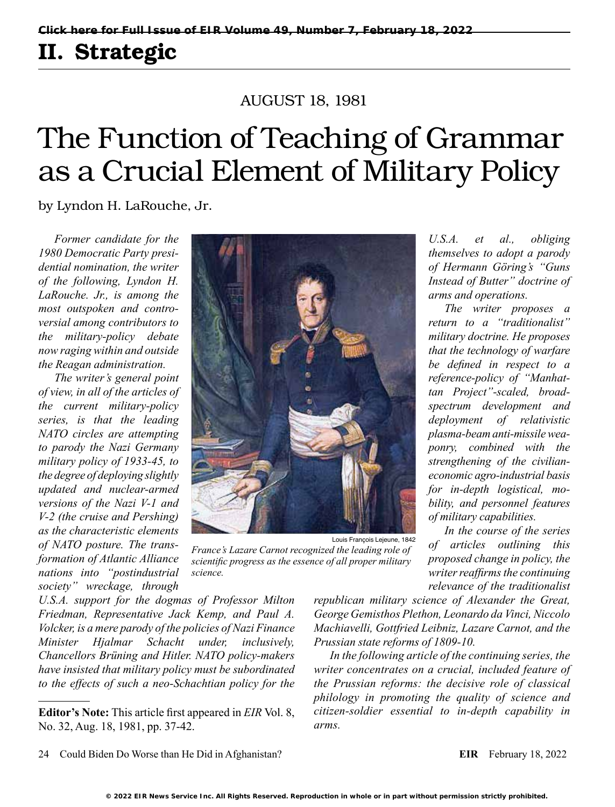## II. Strategic

### AUGUST 18, 1981

# The Function of Teaching of Grammar as a Crucial Element of Military Policy

by Lyndon H. LaRouche, Jr.

*Former candidate for the 1980 Democratic Party presidential nomination, the writer of the following, Lyndon H. LaRouche. Jr., is among the most outspoken and controversial among contributors to the military-policy debate now raging within and outside the Reagan administration.*

*The writer's general point of view, in all of the articles of the current military-policy series, is that the leading NATO circles are attempting to parody the Nazi Germany military policy of 1933-45, to the degree of deploying slightly updated and nuclear-armed versions of the Nazi V-1 and V-2 (the cruise and Pershing) as the characteristic elements of NATO posture. The transformation of Atlantic Alliance nations into "postindustrial society" wreckage, through* 



*France's Lazare Carnot recognized the leading role of scientific progress as the essence of all proper military science.*

*U.S.A. support for the dogmas of Professor Milton Friedman, Representative Jack Kemp, and Paul A. Volcker, is a mere parody of the policies of Nazi Finance Minister Hjalmar Schacht under, inclusively, Chancellors Brüning and Hitler. NATO policy-makers have insisted that military policy must be subordinated to the effects of such a neo-Schachtian policy for the*  *republican military science of Alexander the Great, George Gemisthos Plethon, Leonardo da Vinci, Niccolo Machiavelli, Gottfried Leibniz, Lazare Carnot, and the Prussian state reforms of 1809-10.*

*In the following article of the continuing series, the writer concentrates on a crucial, included feature of the Prussian reforms: the decisive role of classical philology in promoting the quality of science and citizen-soldier essential to in-depth capability in arms.*

*U.S.A. et al., obliging themselves to adopt a parody of Hermann Göring's "Guns Instead of Butter" doctrine of arms and operations.*

*The writer proposes a return to a "traditionalist" military doctrine. He proposes that the technology of warfare be defined in respect to a reference-policy of "Manhattan Project"-scaled, broadspectrum development and deployment of relativistic plasma-beam anti-missile weaponry, combined with the strengthening of the civilianeconomic agro-industrial basis for in-depth logistical, mobility, and personnel features of military capabilities.*

*In the course of the series of articles outlining this proposed change in policy, the writer reaffirms the continuing relevance of the traditionalist* 

**Editor's Note:** This article first appeared in *EIR* Vol. 8, No. 32, Aug. 18, 1981, pp. 37-42.

<sup>24</sup> Could Biden Do Worse than He Did in Afghanistan? **EIR** February 18, 2022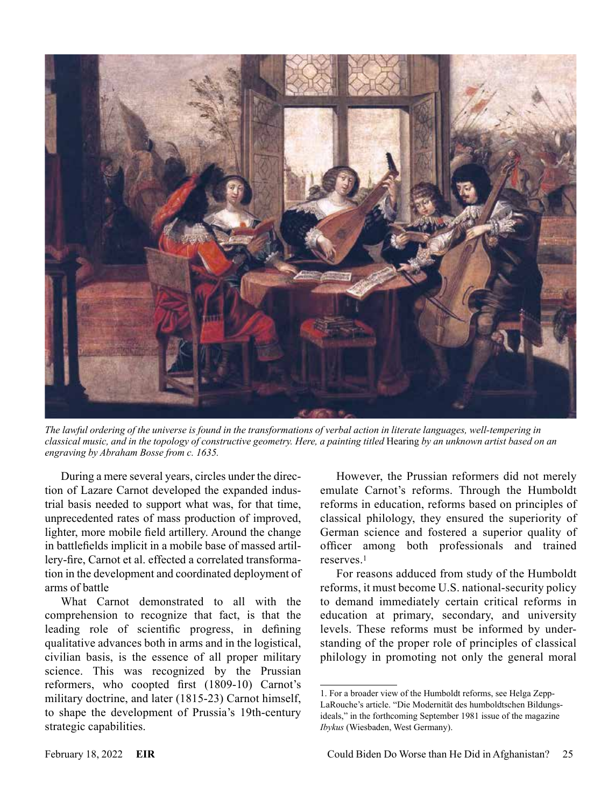

*The lawful ordering of the universe is found in the transformations of verbal action in literate languages, well-tempering in classical music, and in the topology of constructive geometry. Here, a painting titled* Hearing *by an unknown artist based on an engraving by Abraham Bosse from c. 1635.*

During a mere several years, circles under the direction of Lazare Carnot developed the expanded industrial basis needed to support what was, for that time, unprecedented rates of mass production of improved, lighter, more mobile field artillery. Around the change in battlefields implicit in a mobile base of massed artillery-fire, Carnot et al. effected a correlated transformation in the development and coordinated deployment of arms of battle

What Carnot demonstrated to all with the comprehension to recognize that fact, is that the leading role of scientific progress, in defining qualitative advances both in arms and in the logistical, civilian basis, is the essence of all proper military science. This was recognized by the Prussian reformers, who coopted first (1809-10) Carnot's military doctrine, and later (1815-23) Carnot himself, to shape the development of Prussia's 19th-century strategic capabilities.

However, the Prussian reformers did not merely emulate Carnot's reforms. Through the Humboldt reforms in education, reforms based on principles of classical philology, they ensured the superiority of German science and fostered a superior quality of officer among both professionals and trained reserves<sup>1</sup>

For reasons adduced from study of the Humboldt reforms, it must become U.S. national-security policy to demand immediately certain critical reforms in education at primary, secondary, and university levels. These reforms must be informed by understanding of the proper role of principles of classical philology in promoting not only the general moral

<sup>1.</sup> For a broader view of the Humboldt reforms, see Helga Zepp-LaRouche's article. "Die Modernität des humboldtschen Bildungsideals," in the forthcoming September 1981 issue of the magazine *Ibykus* (Wiesbaden, West Germany).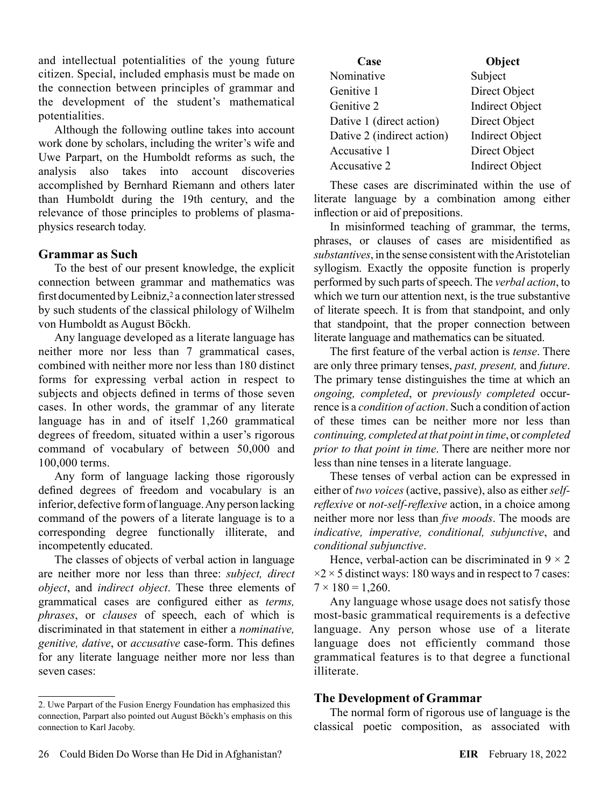and intellectual potentialities of the young future citizen. Special, included emphasis must be made on the connection between principles of grammar and the development of the student's mathematical potentialities.

Although the following outline takes into account work done by scholars, including the writer's wife and Uwe Parpart, on the Humboldt reforms as such, the analysis also takes into account discoveries accomplished by Bernhard Riemann and others later than Humboldt during the 19th century, and the relevance of those principles to problems of plasmaphysics research today.

#### **Grammar as Such**

To the best of our present knowledge, the explicit connection between grammar and mathematics was first documented by Leibniz,<sup>2</sup> a connection later stressed by such students of the classical philology of Wilhelm von Humboldt as August Böckh.

Any language developed as a literate language has neither more nor less than 7 grammatical cases, combined with neither more nor less than 180 distinct forms for expressing verbal action in respect to subjects and objects defined in terms of those seven cases. In other words, the grammar of any literate language has in and of itself 1,260 grammatical degrees of freedom, situated within a user's rigorous command of vocabulary of between 50,000 and 100,000 terms.

Any form of language lacking those rigorously defined degrees of freedom and vocabulary is an inferior, defective form of language. Any person lacking command of the powers of a literate language is to a corresponding degree functionally illiterate, and incompetently educated.

The classes of objects of verbal action in language are neither more nor less than three: *subject, direct object*, and *indirect object*. These three elements of grammatical cases are configured either as *terms, phrases*, or *clauses* of speech, each of which is discriminated in that statement in either a *nominative, genitive, dative*, or *accusative* case-form. This defines for any literate language neither more nor less than seven cases:

| Case                       | Object                 |
|----------------------------|------------------------|
| Nominative                 | Subject                |
| Genitive 1                 | Direct Object          |
| Genitive 2                 | <b>Indirect Object</b> |
| Dative 1 (direct action)   | Direct Object          |
| Dative 2 (indirect action) | <b>Indirect Object</b> |
| Accusative 1               | Direct Object          |
| Accusative 2               | <b>Indirect Object</b> |

These cases are discriminated within the use of literate language by a combination among either inflection or aid of prepositions.

In misinformed teaching of grammar, the terms, phrases, or clauses of cases are misidentified as *substantives*, in the sense consistent with the Aristotelian syllogism. Exactly the opposite function is properly performed by such parts of speech. The *verbal action*, to which we turn our attention next, is the true substantive of literate speech. It is from that standpoint, and only that standpoint, that the proper connection between literate language and mathematics can be situated.

The first feature of the verbal action is *tense*. There are only three primary tenses, *past, present,* and *future*. The primary tense distinguishes the time at which an *ongoing, completed*, or *previously completed* occurrence is a *condition of action*. Such a condition of action of these times can be neither more nor less than *continuing, completed at that point in time*, or *completed prior to that point in time*. There are neither more nor less than nine tenses in a literate language.

These tenses of verbal action can be expressed in either of *two voices* (active, passive), also as either *selfreflexive* or *not-self-reflexive* action, in a choice among neither more nor less than *five moods*. The moods are *indicative, imperative, conditional, subjunctive*, and *conditional subjunctive*.

Hence, verbal-action can be discriminated in  $9 \times 2$  $\times$ 2  $\times$  5 distinct ways: 180 ways and in respect to 7 cases:  $7 \times 180 = 1,260$ .

Any language whose usage does not satisfy those most-basic grammatical requirements is a defective language. Any person whose use of a literate language does not efficiently command those grammatical features is to that degree a functional illiterate.

#### **The Development of Grammar**

The normal form of rigorous use of language is the classical poetic composition, as associated with

<sup>2.</sup> Uwe Parpart of the Fusion Energy Foundation has emphasized this connection, Parpart also pointed out August Böckh's emphasis on this connection to Karl Jacoby.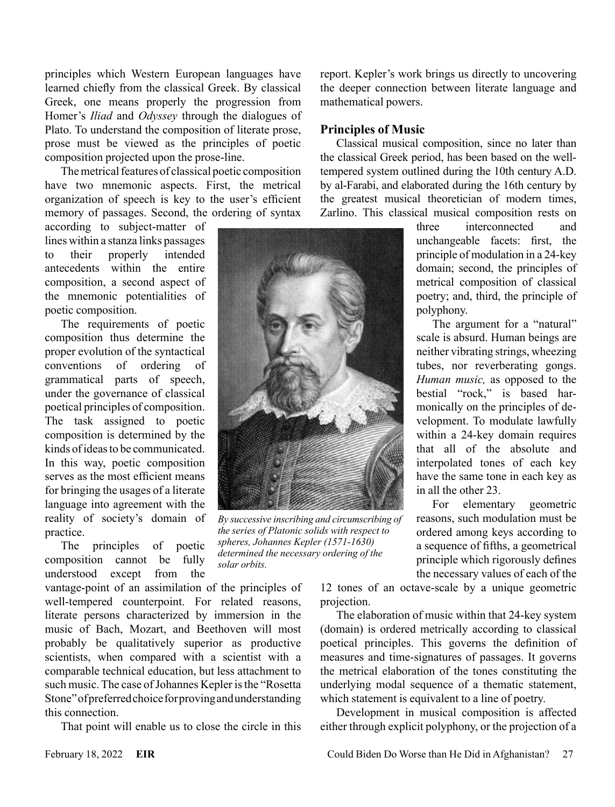principles which Western European languages have learned chiefly from the classical Greek. By classical Greek, one means properly the progression from Homer's *Iliad* and *Odyssey* through the dialogues of Plato. To understand the composition of literate prose, prose must be viewed as the principles of poetic composition projected upon the prose-line.

The metrical features of classical poetic composition have two mnemonic aspects. First, the metrical organization of speech is key to the user's efficient memory of passages. Second, the ordering of syntax

according to subject-matter of lines within a stanza links passages to their properly intended antecedents within the entire composition, a second aspect of the mnemonic potentialities of poetic composition.

The requirements of poetic composition thus determine the proper evolution of the syntactical conventions of ordering of grammatical parts of speech, under the governance of classical poetical principles of composition. The task assigned to poetic composition is determined by the kinds of ideas to be communicated. In this way, poetic composition serves as the most efficient means for bringing the usages of a literate language into agreement with the reality of society's domain of practice.

The principles of poetic composition cannot be fully understood except from the

vantage-point of an assimilation of the principles of well-tempered counterpoint. For related reasons, literate persons characterized by immersion in the music of Bach, Mozart, and Beethoven will most probably be qualitatively superior as productive scientists, when compared with a scientist with a comparable technical education, but less attachment to such music. The case of Johannes Kepler is the "Rosetta Stone" of preferred choice for proving and understanding this connection.

That point will enable us to close the circle in this

report. Kepler's work brings us directly to uncovering the deeper connection between literate language and mathematical powers.

#### **Principles of Music**

Classical musical composition, since no later than the classical Greek period, has been based on the welltempered system outlined during the 10th century A.D. by al-Farabi, and elaborated during the 16th century by the greatest musical theoretician of modern times, Zarlino. This classical musical composition rests on

> three interconnected and unchangeable facets: first, the principle of modulation in a 24-key domain; second, the principles of metrical composition of classical poetry; and, third, the principle of polyphony.

> The argument for a "natural" scale is absurd. Human beings are neither vibrating strings, wheezing tubes, nor reverberating gongs. *Human music,* as opposed to the bestial "rock," is based harmonically on the principles of development. To modulate lawfully within a 24-key domain requires that all of the absolute and interpolated tones of each key have the same tone in each key as in all the other 23.

> For elementary geometric reasons, such modulation must be ordered among keys according to a sequence of fifths, a geometrical principle which rigorously defines the necessary values of each of the

12 tones of an octave-scale by a unique geometric projection.

The elaboration of music within that 24-key system (domain) is ordered metrically according to classical poetical principles. This governs the definition of measures and time-signatures of passages. It governs the metrical elaboration of the tones constituting the underlying modal sequence of a thematic statement, which statement is equivalent to a line of poetry.

Development in musical composition is affected either through explicit polyphony, or the projection of a



*By successive inscribing and circumscribing of the series of Platonic solids with respect to spheres, Johannes Kepler (1571-1630) determined the necessary ordering of the* 

*solar orbits.*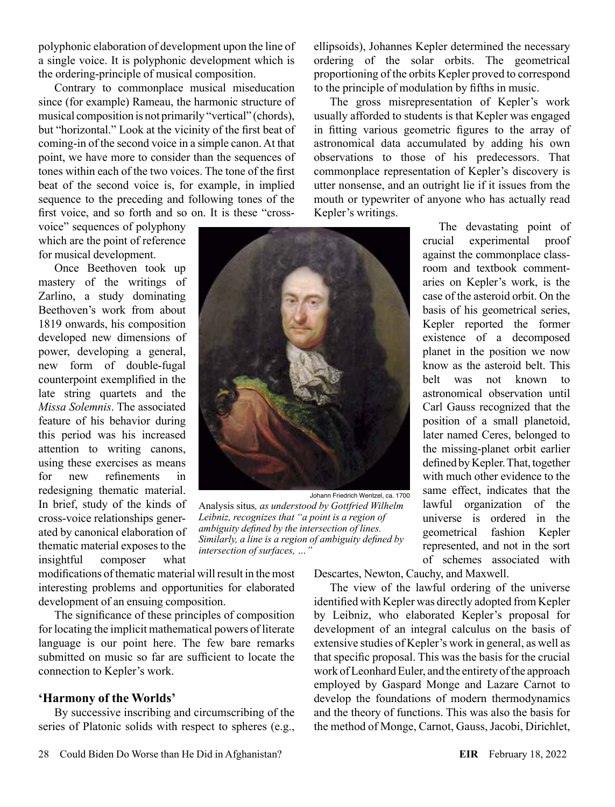polyphonic elaboration of development upon the line of a single voice. It is polyphonic development which is the ordering-principle of musical composition.

Contrary to commonplace musical miseducation since (for example) Rameau, the harmonic structure of musical composition is not primarily "vertical" (chords), but "horizontal." Look at the vicinity of the first beat of coming-in of the second voice in a simple canon. At that point, we have more to consider than the sequences of tones within each of the two voices. The tone of the first beat of the second voice is, for example, in implied sequence to the preceding and following tones of the first voice, and so forth and so on. It is these "cross-

voice" sequences of polyphony which are the point of reference for musical development.

Once Beethoven took up mastery of the writings of Zarlino, a study dominating Beethoven's work from about 1819 onwards, his composition developed new dimensions of power, developing a general, new form of double-fugal counterpoint exemplified in the late string quartets and the *Missa Solemnis*. The associated feature of his behavior during this period was his increased attention to writing canons, using these exercises as means for new refinements in redesigning thematic material. In brief, study of the kinds of cross-voice relationships generated by canonical elaboration of thematic material exposes to the insightful composer what



Johann Friedrich Wentzel, ca. 1700

Analysis situs*, as understood by Gottfried Wilhelm Leibniz, recognizes that "a point is a region of ambiguity defined by the intersection of lines. Similarly, a line is a region of ambiguity defined by intersection of surfaces, …"*

modifications of thematic material will result in the most interesting problems and opportunities for elaborated development of an ensuing composition.

The significance of these principles of composition for locating the implicit mathematical powers of literate language is our point here. The few bare remarks submitted on music so far are sufficient to locate the connection to Kepler's work.

#### **'Harmony of the Worlds'**

By successive inscribing and circumscribing of the series of Platonic solids with respect to spheres (e.g., ellipsoids), Johannes Kepler determined the necessary ordering of the solar orbits. The geometrical proportioning of the orbits Kepler proved to correspond to the principle of modulation by fifths in music.

The gross misrepresentation of Kepler's work usually afforded to students is that Kepler was engaged in fitting various geometric figures to the array of astronomical data accumulated by adding his own observations to those of his predecessors. That commonplace representation of Kepler's discovery is utter nonsense, and an outright lie if it issues from the mouth or typewriter of anyone who has actually read Kepler's writings.

> The devastating point of crucial experimental proof against the commonplace classroom and textbook commentaries on Kepler's work, is the case of the asteroid orbit. On the basis of his geometrical series, Kepler reported the former existence of a decomposed planet in the position we now know as the asteroid belt. This belt was not known to astronomical observation until Carl Gauss recognized that the position of a small planetoid, later named Ceres, belonged to the missing-planet orbit earlier defined by Kepler. That, together with much other evidence to the same effect, indicates that the lawful organization of the universe is ordered in the geometrical fashion Kepler represented, and not in the sort of schemes associated with

Descartes, Newton, Cauchy, and Maxwell.

The view of the lawful ordering of the universe identified with Kepler was directly adopted from Kepler by Leibniz, who elaborated Kepler's proposal for development of an integral calculus on the basis of extensive studies of Kepler's work in general, as well as that specific proposal. This was the basis for the crucial work of Leonhard Euler, and the entirety of the approach employed by Gaspard Monge and Lazare Carnot to develop the foundations of modern thermodynamics and the theory of functions. This was also the basis for the method of Monge, Carnot, Gauss, Jacobi, Dirichlet,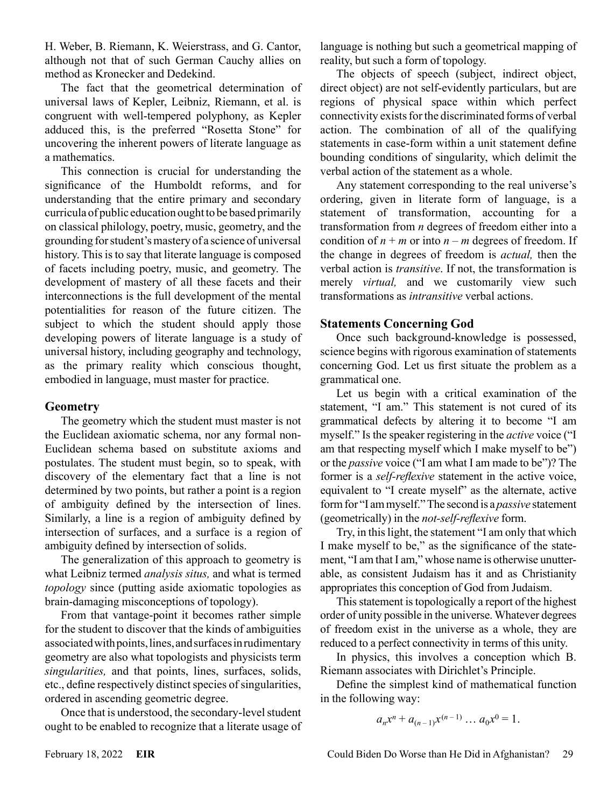H. Weber, B. Riemann, K. Weierstrass, and G. Cantor, although not that of such German Cauchy allies on method as Kronecker and Dedekind.

The fact that the geometrical determination of universal laws of Kepler, Leibniz, Riemann, et al. is congruent with well-tempered polyphony, as Kepler adduced this, is the preferred "Rosetta Stone" for uncovering the inherent powers of literate language as a mathematics.

This connection is crucial for understanding the significance of the Humboldt reforms, and for understanding that the entire primary and secondary curricula of public education ought to be based primarily on classical philology, poetry, music, geometry, and the grounding for student's mastery of a science of universal history. This is to say that literate language is composed of facets including poetry, music, and geometry. The development of mastery of all these facets and their interconnections is the full development of the mental potentialities for reason of the future citizen. The subject to which the student should apply those developing powers of literate language is a study of universal history, including geography and technology, as the primary reality which conscious thought, embodied in language, must master for practice.

#### **Geometry**

The geometry which the student must master is not the Euclidean axiomatic schema, nor any formal non-Euclidean schema based on substitute axioms and postulates. The student must begin, so to speak, with discovery of the elementary fact that a line is not determined by two points, but rather a point is a region of ambiguity defined by the intersection of lines. Similarly, a line is a region of ambiguity defined by intersection of surfaces, and a surface is a region of ambiguity defined by intersection of solids.

The generalization of this approach to geometry is what Leibniz termed *analysis situs,* and what is termed *topology* since (putting aside axiomatic topologies as brain-damaging misconceptions of topology).

From that vantage-point it becomes rather simple for the student to discover that the kinds of ambiguities associated with points, lines, and surfaces in rudimentary geometry are also what topologists and physicists term *singularities,* and that points, lines, surfaces, solids, etc., define respectively distinct species of singularities, ordered in ascending geometric degree.

Once that is understood, the secondary-level student ought to be enabled to recognize that a literate usage of language is nothing but such a geometrical mapping of reality, but such a form of topology.

The objects of speech (subject, indirect object, direct object) are not self-evidently particulars, but are regions of physical space within which perfect connectivity exists for the discriminated forms of verbal action. The combination of all of the qualifying statements in case-form within a unit statement define bounding conditions of singularity, which delimit the verbal action of the statement as a whole.

Any statement corresponding to the real universe's ordering, given in literate form of language, is a statement of transformation, accounting for a transformation from *n* degrees of freedom either into a condition of  $n + m$  or into  $n - m$  degrees of freedom. If the change in degrees of freedom is *actual,* then the verbal action is *transitive*. If not, the transformation is merely *virtual,* and we customarily view such transformations as *intransitive* verbal actions.

#### **Statements Concerning God**

Once such background-knowledge is possessed, science begins with rigorous examination of statements concerning God. Let us first situate the problem as a grammatical one.

Let us begin with a critical examination of the statement, "I am." This statement is not cured of its grammatical defects by altering it to become "I am myself." Is the speaker registering in the *active* voice ("I am that respecting myself which I make myself to be") or the *passive* voice ("I am what I am made to be")? The former is a *self-reflexive* statement in the active voice, equivalent to "I create myself" as the alternate, active form for "I am myself." The second is a *passive* statement (geometrically) in the *not-self-reflexive* form.

Try, in this light, the statement "I am only that which I make myself to be," as the significance of the statement, "I am that I am," whose name is otherwise unutterable, as consistent Judaism has it and as Christianity appropriates this conception of God from Judaism.

This statement is topologically a report of the highest order of unity possible in the universe. Whatever degrees of freedom exist in the universe as a whole, they are reduced to a perfect connectivity in terms of this unity.

In physics, this involves a conception which B. Riemann associates with Dirichlet's Principle.

Define the simplest kind of mathematical function in the following way:

$$
a_n x^n + a_{(n-1)} x^{(n-1)} \dots a_0 x^0 = 1.
$$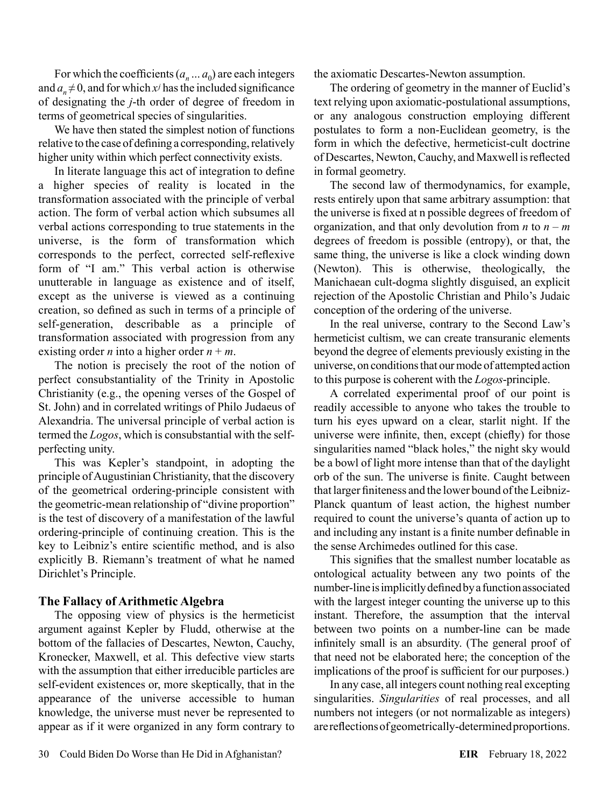For which the coefficients  $(a_n \dots a_0)$  are each integers and  $a_n \neq 0$ , and for which *x*<sup>*j*</sup> has the included significance of designating the *j*-th order of degree of freedom in terms of geometrical species of singularities.

We have then stated the simplest notion of functions relative to the case of defining a corresponding, relatively higher unity within which perfect connectivity exists.

In literate language this act of integration to define a higher species of reality is located in the transformation associated with the principle of verbal action. The form of verbal action which subsumes all verbal actions corresponding to true statements in the universe, is the form of transformation which corresponds to the perfect, corrected self-reflexive form of "I am." This verbal action is otherwise unutterable in language as existence and of itself, except as the universe is viewed as a continuing creation, so defined as such in terms of a principle of self-generation, describable as a principle of transformation associated with progression from any existing order *n* into a higher order  $n + m$ .

The notion is precisely the root of the notion of perfect consubstantiality of the Trinity in Apostolic Christianity (e.g., the opening verses of the Gospel of St. John) and in correlated writings of Philo Judaeus of Alexandria. The universal principle of verbal action is termed the *Logos*, which is consubstantial with the selfperfecting unity.

This was Kepler's standpoint, in adopting the principle of Augustinian Christianity, that the discovery of the geometrical ordering-principle consistent with the geometric-mean relationship of "divine proportion" is the test of discovery of a manifestation of the lawful ordering-principle of continuing creation. This is the key to Leibniz's entire scientific method, and is also explicitly B. Riemann's treatment of what he named Dirichlet's Principle.

#### **The Fallacy of Arithmetic Algebra**

The opposing view of physics is the hermeticist argument against Kepler by Fludd, otherwise at the bottom of the fallacies of Descartes, Newton, Cauchy, Kronecker, Maxwell, et al. This defective view starts with the assumption that either irreducible particles are self-evident existences or, more skeptically, that in the appearance of the universe accessible to human knowledge, the universe must never be represented to appear as if it were organized in any form contrary to the axiomatic Descartes-Newton assumption.

The ordering of geometry in the manner of Euclid's text relying upon axiomatic-postulational assumptions, or any analogous construction employing different postulates to form a non-Euclidean geometry, is the form in which the defective, hermeticist-cult doctrine of Descartes, Newton, Cauchy, and Maxwell is reflected in formal geometry.

The second law of thermodynamics, for example, rests entirely upon that same arbitrary assumption: that the universe is fixed at n possible degrees of freedom of organization, and that only devolution from *n* to  $n - m$ degrees of freedom is possible (entropy), or that, the same thing, the universe is like a clock winding down (Newton). This is otherwise, theologically, the Manichaean cult-dogma slightly disguised, an explicit rejection of the Apostolic Christian and Philo's Judaic conception of the ordering of the universe.

In the real universe, contrary to the Second Law's hermeticist cultism, we can create transuranic elements beyond the degree of elements previously existing in the universe, on conditions that our mode of attempted action to this purpose is coherent with the *Logos*-principle.

A correlated experimental proof of our point is readily accessible to anyone who takes the trouble to turn his eyes upward on a clear, starlit night. If the universe were infinite, then, except (chiefly) for those singularities named "black holes," the night sky would be a bowl of light more intense than that of the daylight orb of the sun. The universe is finite. Caught between that larger finiteness and the lower bound of the Leibniz-Planck quantum of least action, the highest number required to count the universe's quanta of action up to and including any instant is a finite number definable in the sense Archimedes outlined for this case.

This signifies that the smallest number locatable as ontological actuality between any two points of the number-line is implicitly defined by a function associated with the largest integer counting the universe up to this instant. Therefore, the assumption that the interval between two points on a number-line can be made infinitely small is an absurdity. (The general proof of that need not be elaborated here; the conception of the implications of the proof is sufficient for our purposes.)

In any case, all integers count nothing real excepting singularities. *Singularities* of real processes, and all numbers not integers (or not normalizable as integers) are reflections of geometrically-determined proportions.